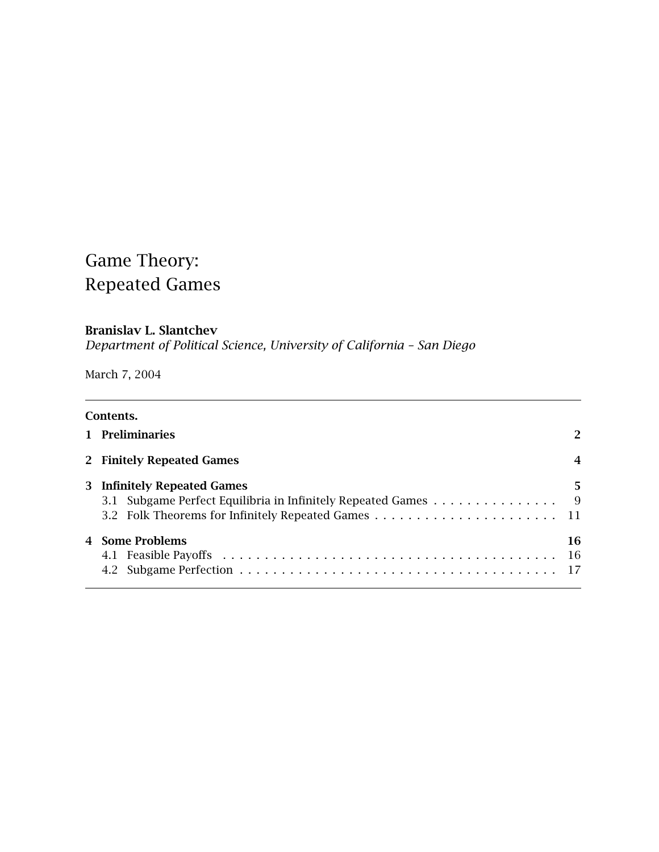# Game Theory: Repeated Games

# **Branislav L. Slantchev**

*Department of Political Science, University of California – San Diego*

March 7, 2004

|   | Contents.                                                                                         |                |
|---|---------------------------------------------------------------------------------------------------|----------------|
|   | 1 Preliminaries                                                                                   | 2              |
|   | 2 Finitely Repeated Games                                                                         | $\overline{4}$ |
| 3 | <b>Infinitely Repeated Games</b><br>3.1 Subgame Perfect Equilibria in Infinitely Repeated Games 9 | 5              |
|   | 4 Some Problems                                                                                   | 16<br>-16      |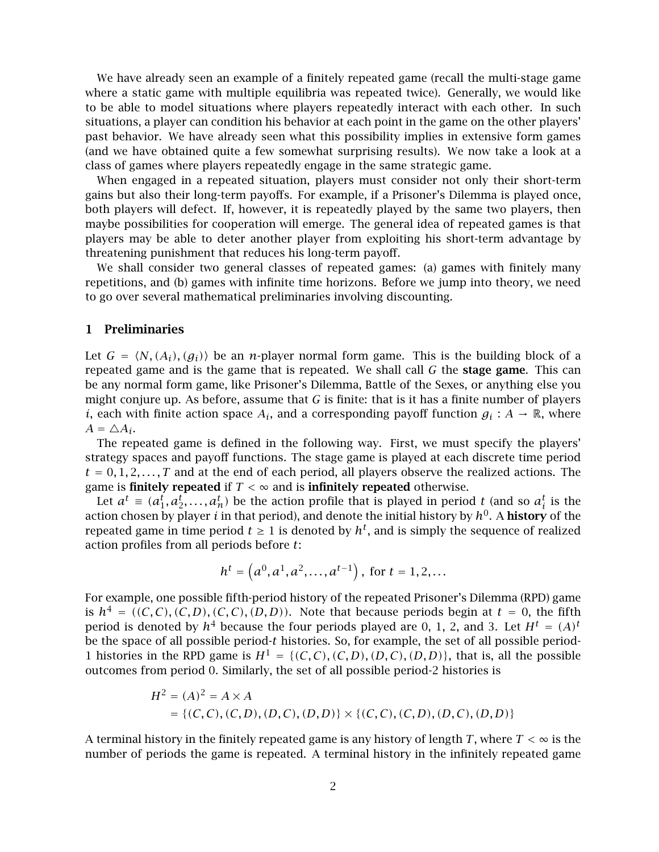We have already seen an example of a finitely repeated game (recall the multi-stage game where a static game with multiple equilibria was repeated twice). Generally, we would like to be able to model situations where players repeatedly interact with each other. In such situations, a player can condition his behavior at each point in the game on the other players' past behavior. We have already seen what this possibility implies in extensive form games (and we have obtained quite a few somewhat surprising results). We now take a look at a class of games where players repeatedly engage in the same strategic game.

When engaged in a repeated situation, players must consider not only their short-term gains but also their long-term payoffs. For example, if a Prisoner's Dilemma is played once, both players will defect. If, however, it is repeatedly played by the same two players, then maybe possibilities for cooperation will emerge. The general idea of repeated games is that players may be able to deter another player from exploiting his short-term advantage by threatening punishment that reduces his long-term payoff.

We shall consider two general classes of repeated games: (a) games with finitely many repetitions, and (b) games with infinite time horizons. Before we jump into theory, we need to go over several mathematical preliminaries involving discounting.

### **1 Preliminaries**

Let  $G = \langle N, (A_i), (g_i) \rangle$  be an *n*-player normal form game. This is the building block of a<br>repeated game and is the game that is repeated. We shall call *C* the stage game. This can repeated game and is the game that is repeated. We shall call *G* the **stage game**. This can be any normal form game, like Prisoner's Dilemma, Battle of the Sexes, or anything else you might conjure up. As before, assume that *G* is finite: that is it has a finite number of players *i*, each with finite action space  $A_i$ , and a corresponding payoff function  $g_i : A \to \mathbb{R}$ , where  $A = \triangle A_i$ .

The repeated game is defined in the following way. First, we must specify the players' strategy spaces and payoff functions. The stage game is played at each discrete time period  $t = 0, 1, 2, \ldots, T$  and at the end of each period, all players observe the realized actions. The game is **finitely repeated** if  $T < \infty$  and is **infinitely repeated** otherwise.

Let  $a^t \equiv (a_1^t, a_2^t, \ldots, a_n^t)$  be the action profile that is played in period *t* (and so  $a_i^t$  is the tion chosen by player *i* in that period) and denote the initial history by  $b^0$ . A **history** of the Let  $a^2 = (a_1, a_2, \ldots, a_n)$  be the action prome that is played in period *t* (and so  $a_i$  is the action chosen by player *i* in that period), and denote the initial history by  $h^0$ . A **history** of the repeated game in tim repeated game in time period  $t \geq 1$  is denoted by  $h^t$ , and is simply the sequence of realized action profiles from all periods before *t*:

$$
h^t = \left(a^0, a^1, a^2, \dots, a^{t-1}\right), \text{ for } t = 1, 2, \dots
$$

For example, one possible fifth-period history of the repeated Prisoner's Dilemma (RPD) game is  $h^4 = ((C, C), (C, D), (C, C), (D, D))$ . Note that because periods begin at  $t = 0$ , the fifth period is denoted by  $h^4$  because the four periods played are 0, 1, 2, and 3. Let  $H^t = (A)^t$ be the space of all possible period-*t* histories. So, for example, the set of all possible period-1 histories in the RPD game is  $H^1 = \{ (C, C), (C, D), (D, C), (D, D) \}$ , that is, all the possible outcomes from period 0. Similarly, the set of all possible period-2 histories is

$$
H^{2} = (A)^{2} = A \times A
$$
  
= {(*C, C*), (*C, D*), (*D, C*), (*D, D*)} × {(*C, C*), (*C, D*), (*D, C*), (*D, D*)}

A terminal history in the finitely repeated game is any history of length *T*, where  $T < \infty$  is the number of periods the game is repeated. A terminal history in the infinitely repeated game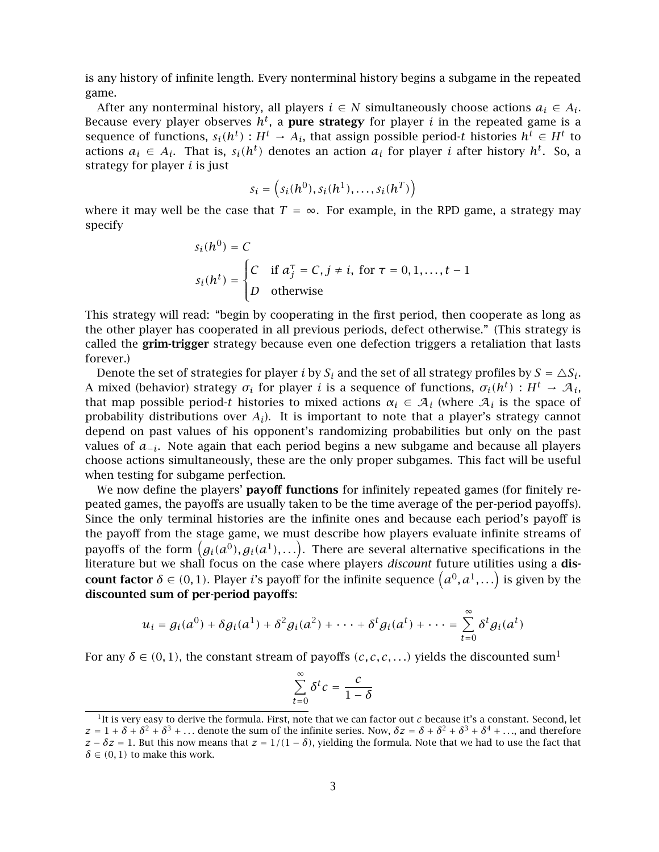is any history of infinite length. Every nonterminal history begins a subgame in the repeated game.

After any nonterminal history, all players  $i \in N$  simultaneously choose actions  $a_i \in A_i$ . Because every player observes  $h^t$ , a **pure strategy** for player *i* in the repeated game is a sequence of functions,  $s_i(h^t) : H^t \to A_i$ , that assign possible period-*t* histories  $h^t \in H^t$  to actions  $a_i \in A_i$ . That is,  $s_i(h^t)$  denotes an action  $a_i$  for player *i* after history  $h^t$ . So, a strategy for player *i* is just

$$
s_i = \left(s_i(h^0), s_i(h^1), \ldots, s_i(h^T)\right)
$$

where it may well be the case that  $T = \infty$ . For example, in the RPD game, a strategy may specify

$$
s_i(h^0) = C
$$
  
\n
$$
s_i(h^t) = \begin{cases} C & \text{if } a_j^\top = C, j \neq i, \text{ for } \tau = 0, 1, \dots, t - 1 \\ D & \text{otherwise} \end{cases}
$$

This strategy will read: "begin by cooperating in the first period, then cooperate as long as the other player has cooperated in all previous periods, defect otherwise." (This strategy is called the **grim-trigger** strategy because even one defection triggers a retaliation that lasts forever.)

Denote the set of strategies for player *i* by  $S_i$  and the set of all strategy profiles by  $S = \Delta S_i$ . A mixed (behavior) strategy  $\sigma_i$  for player *i* is a sequence of functions,  $\sigma_i(h^t) : H^t \to \mathcal{A}_i$ , that map possible period-*t* histories to mixed actions  $\alpha_i \in A_i$  (where  $A_i$  is the space of probability distributions over *Ai*). It is important to note that a player's strategy cannot depend on past values of his opponent's randomizing probabilities but only on the past values of *<sup>a</sup>*−*i*. Note again that each period begins a new subgame and because all players choose actions simultaneously, these are the only proper subgames. This fact will be useful when testing for subgame perfection.

We now define the players' **payoff functions** for infinitely repeated games (for finitely repeated games, the payoffs are usually taken to be the time average of the per-period payoffs). Since the only terminal histories are the infinite ones and because each period's payoff is the payoff from the stage game, we must describe how players evaluate infinite streams of payoffs of the form  $(g_i(a^0), g_i(a^1), ...)$ . There are several alternative specifications in the literature but we shall focus on the case where players *discount* future utilities using a **dis**literature but we shall focus on the case where players *discount* future utilities using a **discount factor**  $\delta \in (0,1)$ . Player *i*'s payoff for the infinite sequence  $(a^0, a^1, \ldots)$  is given by the discounted sum of par-pariod payoffs: **discounted sum of per-period payoffs**:

$$
u_i = g_i(a^0) + \delta g_i(a^1) + \delta^2 g_i(a^2) + \cdots + \delta^t g_i(a^t) + \cdots = \sum_{t=0}^{\infty} \delta^t g_i(a^t)
$$

For any  $\delta \in (0,1)$ , the constant stream of payoffs  $(c, c, c, ...)$  yields the discounted sum<sup>1</sup>

$$
\sum_{t=0}^{\infty} \delta^t c = \frac{c}{1-\delta}
$$

 $1$ It is very easy to derive the formula. First, note that we can factor out  $c$  because it's a constant. Second, let  $z = 1 + \delta + \delta^2 + \delta^3 + \ldots$  denote the sum of the infinite series. Now,  $\delta z = \delta + \delta^2 + \delta^3 + \delta^4 + \ldots$ , and therefore  $z - \delta z = 1$ . But this now means that  $z = 1/(1 - \delta)$ , yielding the formula. Note that we had to use the fact that  $\delta \in (0, 1)$  to make this work.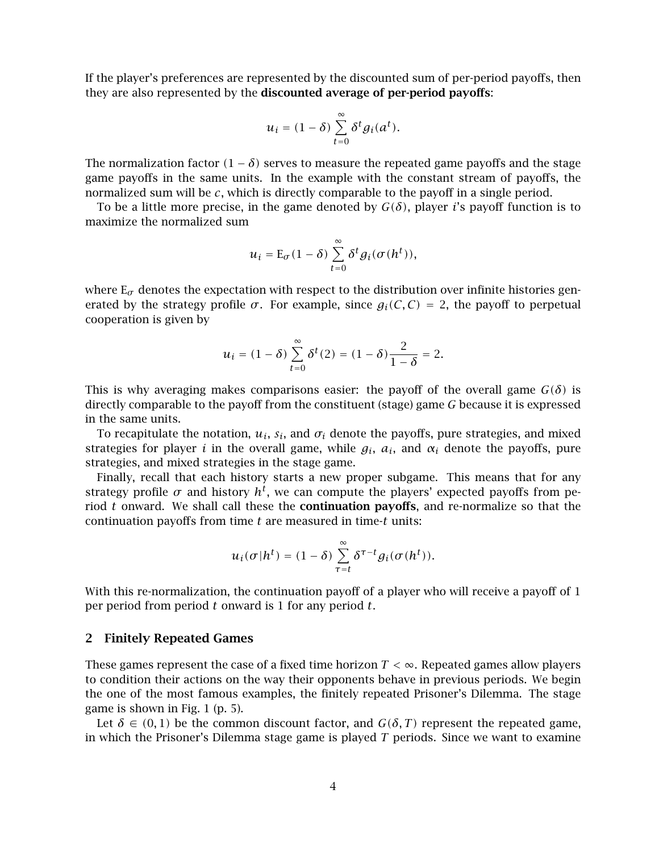If the player's preferences are represented by the discounted sum of per-period payoffs, then they are also represented by the **discounted average of per-period payoffs**:

$$
u_i = (1 - \delta) \sum_{t=0}^{\infty} \delta^t g_i(a^t).
$$

The normalization factor  $(1 - \delta)$  serves to measure the repeated game payoffs and the stage game payoffs in the same units. In the example with the constant stream of payoffs, the normalized sum will be *c*, which is directly comparable to the payoff in a single period.

To be a little more precise, in the game denoted by  $G(\delta)$ , player *i*'s payoff function is to maximize the normalized sum

$$
u_i = \mathcal{E}_{\sigma}(1-\delta) \sum_{t=0}^{\infty} \delta^t g_i(\sigma(h^t)),
$$

where  $E_{\sigma}$  denotes the expectation with respect to the distribution over infinite histories generated by the strategy profile  $\sigma$ . For example, since  $g_i(C, C) = 2$ , the payoff to perpetual cooperation is given by

$$
u_i = (1 - \delta) \sum_{t=0}^{\infty} \delta^t(2) = (1 - \delta) \frac{2}{1 - \delta} = 2.
$$

This is why averaging makes comparisons easier: the payoff of the overall game  $G(\delta)$  is directly comparable to the payoff from the constituent (stage) game *G* because it is expressed in the same units.

To recapitulate the notation,  $u_i$ ,  $s_i$ , and  $\sigma_i$  denote the payoffs, pure strategies, and mixed strategies for player *i* in the overall game, while  $g_i$ ,  $a_i$ , and  $\alpha_i$  denote the payoffs, pure strategies, and mixed strategies in the stage game.

Finally, recall that each history starts a new proper subgame. This means that for any strategy profile  $\sigma$  and history  $h^t$ , we can compute the players' expected payoffs from period *t* onward. We shall call these the **continuation payoffs**, and re-normalize so that the continuation payoffs from time *t* are measured in time-*t* units:

$$
u_i(\sigma|h^t) = (1-\delta) \sum_{\tau=t}^{\infty} \delta^{\tau-t} g_i(\sigma(h^t)).
$$

With this re-normalization, the continuation payoff of a player who will receive a payoff of 1 per period from period *t* onward is 1 for any period *t*.

### **2 Finitely Repeated Games**

These games represent the case of a fixed time horizon *T <* <sup>∞</sup>. Repeated games allow players to condition their actions on the way their opponents behave in previous periods. We begin the one of the most famous examples, the finitely repeated Prisoner's Dilemma. The stage game is shown in Fig. 1 (p. 5).

Let  $\delta \in (0,1)$  be the common discount factor, and  $G(\delta, T)$  represent the repeated game, in which the Prisoner's Dilemma stage game is played *T* periods. Since we want to examine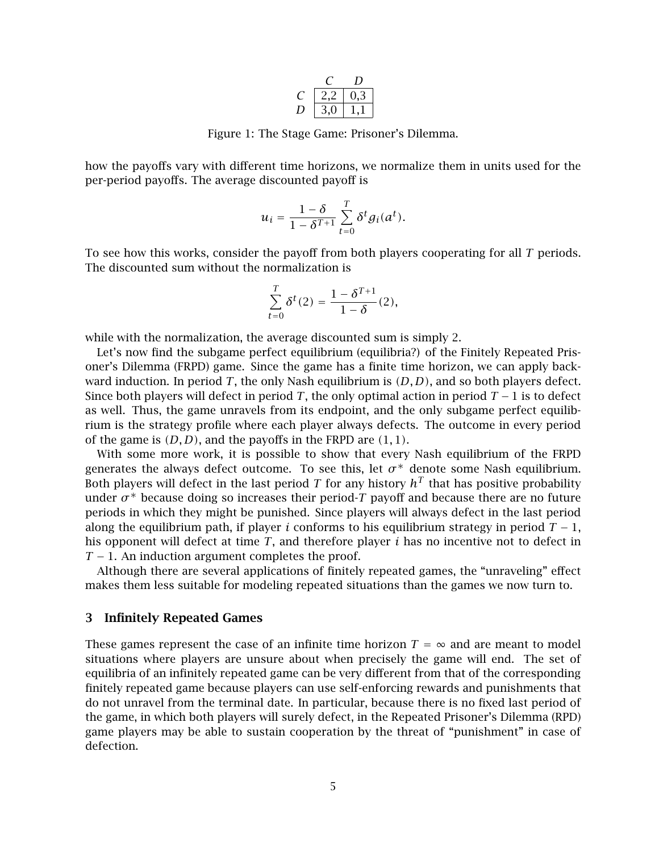|   | -3 |
|---|----|
| → |    |

Figure 1: The Stage Game: Prisoner's Dilemma.

how the payoffs vary with different time horizons, we normalize them in units used for the per-period payoffs. The average discounted payoff is

$$
u_i = \frac{1-\delta}{1-\delta^{T+1}} \sum_{t=0}^T \delta^t g_i(a^t).
$$

To see how this works, consider the payoff from both players cooperating for all *T* periods. The discounted sum without the normalization is

$$
\sum_{t=0}^{T} \delta^t(2) = \frac{1 - \delta^{T+1}}{1 - \delta}(2),
$$

while with the normalization, the average discounted sum is simply 2.

Let's now find the subgame perfect equilibrium (equilibria?) of the Finitely Repeated Prisoner's Dilemma (FRPD) game. Since the game has a finite time horizon, we can apply backward induction. In period *T*, the only Nash equilibrium is *(D, D)*, and so both players defect. Since both players will defect in period *T*, the only optimal action in period *T* <sup>−</sup> 1 is to defect as well. Thus, the game unravels from its endpoint, and the only subgame perfect equilibrium is the strategy profile where each player always defects. The outcome in every period of the game is *(D, D)*, and the payoffs in the FRPD are *(*1*,* <sup>1</sup>*)*.

With some more work, it is possible to show that every Nash equilibrium of the FRPD generates the always defect outcome. To see this, let  $\sigma^*$  denote some Nash equilibrium. Both players will defect in the last period *T* for any history  $h<sup>T</sup>$  that has positive probability under  $\sigma^*$  because doing so increases their period-T payoff and because there are no future periods in which they might be punished. Since players will always defect in the last period along the equilibrium path, if player *i* conforms to his equilibrium strategy in period  $T - 1$ , his opponent will defect at time *T*, and therefore player *i* has no incentive not to defect in *T* − 1. An induction argument completes the proof.

Although there are several applications of finitely repeated games, the "unraveling" effect makes them less suitable for modeling repeated situations than the games we now turn to.

## **3 Infinitely Repeated Games**

These games represent the case of an infinite time horizon  $T = \infty$  and are meant to model situations where players are unsure about when precisely the game will end. The set of equilibria of an infinitely repeated game can be very different from that of the corresponding finitely repeated game because players can use self-enforcing rewards and punishments that do not unravel from the terminal date. In particular, because there is no fixed last period of the game, in which both players will surely defect, in the Repeated Prisoner's Dilemma (RPD) game players may be able to sustain cooperation by the threat of "punishment" in case of defection.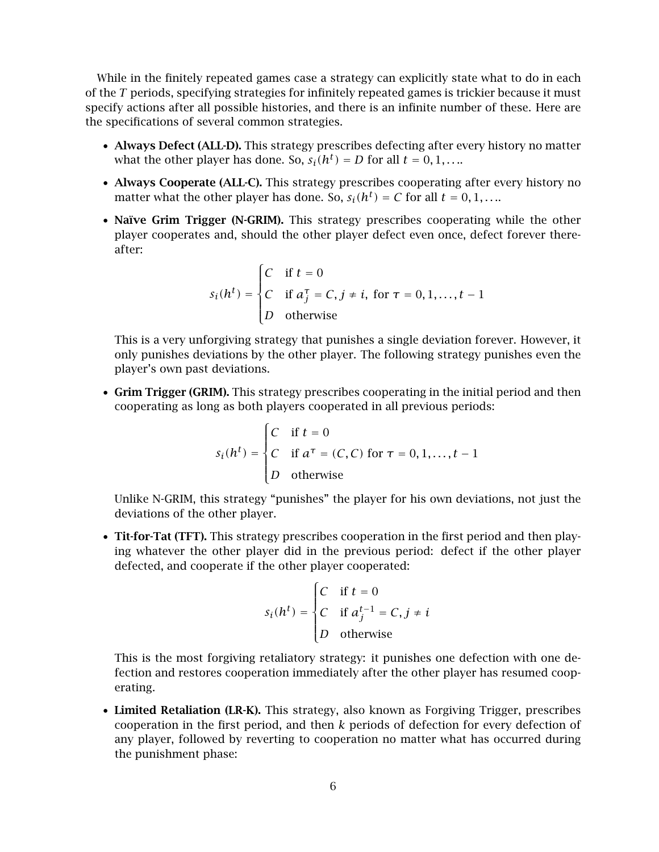While in the finitely repeated games case a strategy can explicitly state what to do in each of the *T* periods, specifying strategies for infinitely repeated games is trickier because it must specify actions after all possible histories, and there is an infinite number of these. Here are the specifications of several common strategies.

- **Always Defect (ALL-D).** This strategy prescribes defecting after every history no matter what the other player has done. So,  $s_i(h^t) = D$  for all  $t = 0, 1, \ldots$ .
- **Always Cooperate (ALL-C).** This strategy prescribes cooperating after every history no matter what the other player has done. So,  $s_i(h^t) = C$  for all  $t = 0, 1, \ldots$ .
- **Naïve Grim Trigger (N-GRIM).** This strategy prescribes cooperating while the other player cooperates and, should the other player defect even once, defect forever thereafter:

$$
s_i(h^t) = \begin{cases} C & \text{if } t = 0 \\ C & \text{if } a_j^\tau = C, j \neq i, \text{ for } \tau = 0, 1, \dots, t - 1 \\ D & \text{otherwise} \end{cases}
$$

This is a very unforgiving strategy that punishes a single deviation forever. However, it only punishes deviations by the other player. The following strategy punishes even the player's own past deviations.

• **Grim Trigger (GRIM).** This strategy prescribes cooperating in the initial period and then cooperating as long as both players cooperated in all previous periods:

$$
s_i(h^t) = \begin{cases} C & \text{if } t = 0 \\ C & \text{if } a^\tau = (C, C) \text{ for } \tau = 0, 1, \dots, t - 1 \\ D & \text{otherwise} \end{cases}
$$

Unlike N-GRIM, this strategy "punishes" the player for his own deviations, not just the deviations of the other player.

• **Tit-for-Tat (TFT).** This strategy prescribes cooperation in the first period and then playing whatever the other player did in the previous period: defect if the other player defected, and cooperate if the other player cooperated:

$$
s_i(h^t) = \begin{cases} C & \text{if } t = 0\\ C & \text{if } a_j^{t-1} = C, j \neq i\\ D & \text{otherwise} \end{cases}
$$

This is the most forgiving retaliatory strategy: it punishes one defection with one defection and restores cooperation immediately after the other player has resumed cooperating.

• **Limited Retaliation (LR-K).** This strategy, also known as Forgiving Trigger, prescribes cooperation in the first period, and then *k* periods of defection for every defection of any player, followed by reverting to cooperation no matter what has occurred during the punishment phase: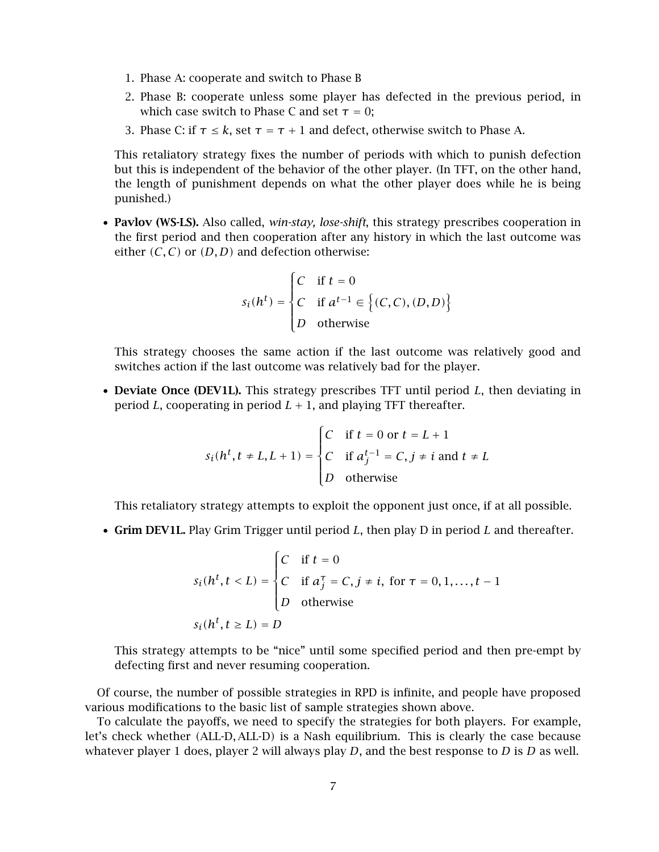- 1. Phase A: cooperate and switch to Phase B
- 2. Phase B: cooperate unless some player has defected in the previous period, in which case switch to Phase C and set  $\tau = 0$ ;
- 3. Phase C: if  $\tau \leq k$ , set  $\tau = \tau + 1$  and defect, otherwise switch to Phase A.

This retaliatory strategy fixes the number of periods with which to punish defection but this is independent of the behavior of the other player. (In TFT, on the other hand, the length of punishment depends on what the other player does while he is being punished.)

• **Pavlov (WS-LS).** Also called, *win-stay, lose-shift*, this strategy prescribes cooperation in the first period and then cooperation after any history in which the last outcome was either  $(C, C)$  or  $(D, D)$  and defection otherwise:

$$
s_i(h^t) = \begin{cases} C & \text{if } t = 0\\ C & \text{if } a^{t-1} \in \left\{ (C, C), (D, D) \right\} \\ D & \text{otherwise} \end{cases}
$$

This strategy chooses the same action if the last outcome was relatively good and switches action if the last outcome was relatively bad for the player.

• **Deviate Once (DEV1L).** This strategy prescribes TFT until period *L*, then deviating in period *L*, cooperating in period  $L + 1$ , and playing TFT thereafter.

$$
s_i(h^t, t \neq L, L + 1) = \begin{cases} C & \text{if } t = 0 \text{ or } t = L + 1 \\ C & \text{if } a_j^{t-1} = C, j \neq i \text{ and } t \neq L \\ D & \text{otherwise} \end{cases}
$$

This retaliatory strategy attempts to exploit the opponent just once, if at all possible.

• **Grim DEV1L.** Play Grim Trigger until period *L*, then play D in period *L* and thereafter.

$$
s_i(h^t, t < L) = \begin{cases} C & \text{if } t = 0 \\ C & \text{if } a_j^\top = C, j \neq i, \text{ for } \tau = 0, 1, \dots, t - 1 \\ D & \text{otherwise} \end{cases}
$$
\n
$$
s_i(h^t, t \ge L) = D
$$

This strategy attempts to be "nice" until some specified period and then pre-empt by defecting first and never resuming cooperation.

Of course, the number of possible strategies in RPD is infinite, and people have proposed various modifications to the basic list of sample strategies shown above.

To calculate the payoffs, we need to specify the strategies for both players. For example, let's check whether *(*ALL-D*,* ALL-D*)* is a Nash equilibrium. This is clearly the case because whatever player 1 does, player 2 will always play *D*, and the best response to *D* is *D* as well.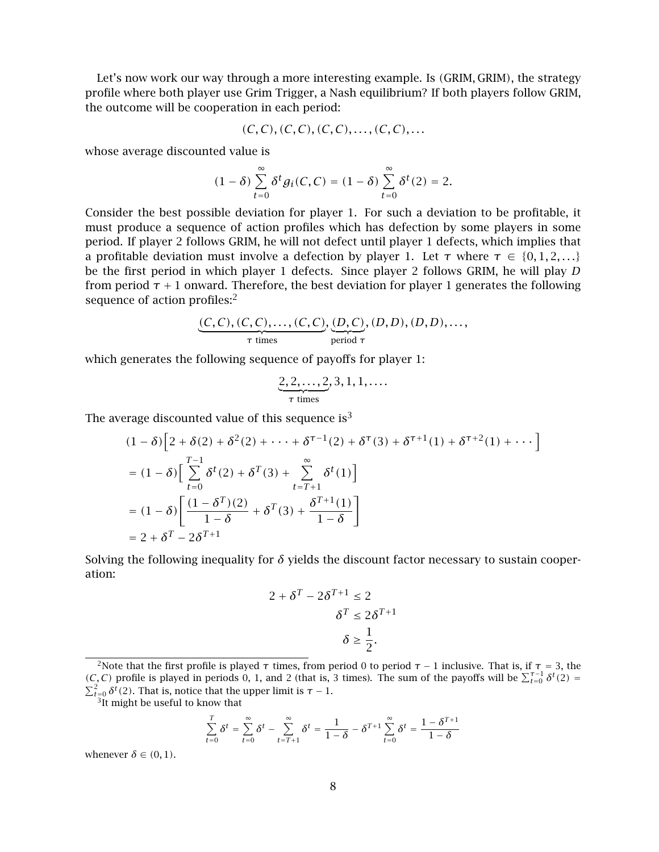Let's now work our way through a more interesting example. Is *(*GRIM*,* GRIM*)*, the strategy profile where both player use Grim Trigger, a Nash equilibrium? If both players follow GRIM, the outcome will be cooperation in each period:

$$
(C, C), (C, C), (C, C), \ldots, (C, C), \ldots
$$

whose average discounted value is

$$
(1-\delta)\sum_{t=0}^{\infty}\delta^t g_i(C,C)=(1-\delta)\sum_{t=0}^{\infty}\delta^t(2)=2.
$$

Consider the best possible deviation for player 1. For such a deviation to be profitable, it must produce a sequence of action profiles which has defection by some players in some period. If player 2 follows GRIM, he will not defect until player 1 defects, which implies that a profitable deviation must involve a defection by player 1. Let  $\tau$  where  $\tau \in \{0, 1, 2, ...\}$ be the first period in which player 1 defects. Since player 2 follows GRIM, he will play *D* from period  $\tau$  + 1 onward. Therefore, the best deviation for player 1 generates the following sequence of action profiles:<sup>2</sup>

$$
\underbrace{(C, C), (C, C), \dots, (C, C)}_{\tau \text{ times}}, \underbrace{(D, C)}_{\text{period } \tau}, (D, D), (D, D), \dots,
$$

which generates the following sequence of payoffs for player 1:

$$
\underbrace{2,2,\ldots,2}_{\tau \text{ times}},3,1,1,\ldots
$$

The average discounted value of this sequence is<sup>3</sup>

$$
(1 - \delta) \left[ 2 + \delta(2) + \delta^2(2) + \dots + \delta^{\tau-1}(2) + \delta^{\tau}(3) + \delta^{\tau+1}(1) + \delta^{\tau+2}(1) + \dots \right]
$$
  
=  $(1 - \delta) \left[ \sum_{t=0}^{T-1} \delta^t(2) + \delta^T(3) + \sum_{t=T+1}^{\infty} \delta^t(1) \right]$   
=  $(1 - \delta) \left[ \frac{(1 - \delta^T)(2)}{1 - \delta} + \delta^T(3) + \frac{\delta^{T+1}(1)}{1 - \delta} \right]$   
=  $2 + \delta^T - 2\delta^{T+1}$ 

Solving the following inequality for  $\delta$  yields the discount factor necessary to sustain cooperation:

$$
2 + \delta^{T} - 2\delta^{T+1} \le 2
$$

$$
\delta^{T} \le 2\delta^{T+1}
$$

$$
\delta \ge \frac{1}{2}.
$$

$$
\sum_{t=0}^{T} \delta^{t} = \sum_{t=0}^{\infty} \delta^{t} - \sum_{t=T+1}^{\infty} \delta^{t} = \frac{1}{1-\delta} - \delta^{T+1} \sum_{t=0}^{\infty} \delta^{t} = \frac{1-\delta^{T+1}}{1-\delta}
$$

whenever  $\delta \in (0, 1)$ .

<sup>&</sup>lt;sup>2</sup>Note that the first profile is played  $\tau$  times, from period 0 to period  $\tau$  − 1 inclusive. That is, if  $\tau$  = 3, the (*C*, *C*) profile is played in periods 0, 1, and 2 (that is, 3 times). The sum of the payoffs will be  $\sum_{t=0}^{\infty} \delta^t(2) = \sum_{t=0}^2 \delta^t(2)$ . That is, notice that the upper limit is  $\tau - 1$ .

<sup>&</sup>lt;sup>3</sup>It might be useful to know that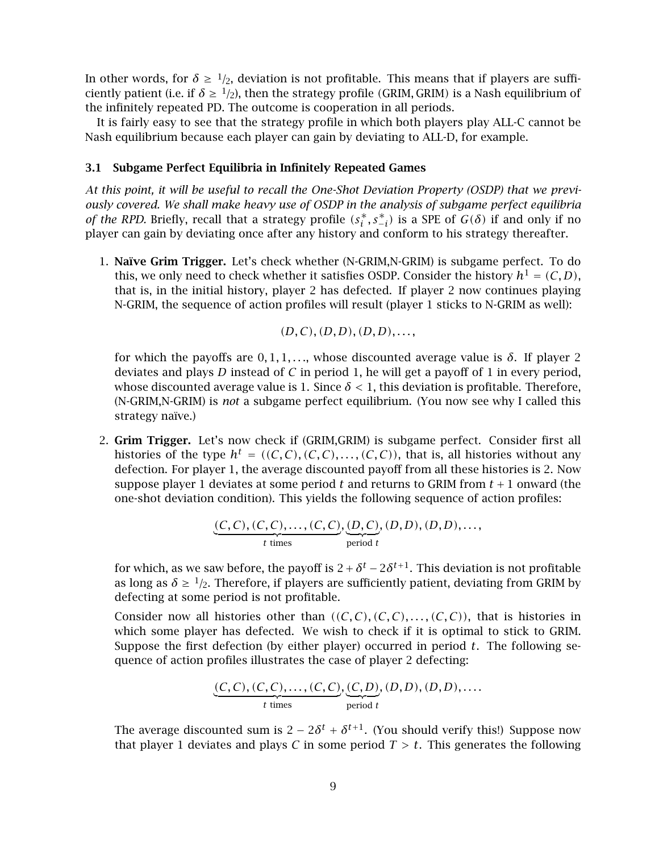In other words, for  $\delta \geq 1/2$ , deviation is not profitable. This means that if players are sufficiently patient (i.e. if  $\delta \geq 1/2$ ), then the strategy profile *(GRIM, GRIM)* is a Nash equilibrium of the infinitely repeated PD. The outcome is cooperation in all periods.

It is fairly easy to see that the strategy profile in which both players play ALL-C cannot be Nash equilibrium because each player can gain by deviating to ALL-D, for example.

### **3.1 Subgame Perfect Equilibria in Infinitely Repeated Games**

*At this point, it will be useful to recall the One-Shot Deviation Property (OSDP) that we previously covered. We shall make heavy use of OSDP in the analysis of subgame perfect equilibria of the RPD.* Briefly, recall that a strategy profile  $(s_i^*, s_{-i}^*)$  is a SPE of  $G(\delta)$  if and only if no player can gain by deviating once after any history and conform to bis strategy thereafter player can gain by deviating once after any history and conform to his strategy thereafter.

1. **Na¨ıve Grim Trigger.** Let's check whether (N-GRIM,N-GRIM) is subgame perfect. To do this, we only need to check whether it satisfies OSDP. Consider the history  $h^1 = (C, D)$ , that is, in the initial history, player 2 has defected. If player 2 now continues playing N-GRIM, the sequence of action profiles will result (player 1 sticks to N-GRIM as well):

$$
(D,C), (D,D), (D,D), \ldots,
$$

for which the payoffs are  $0, 1, 1, \ldots$ , whose discounted average value is  $\delta$ . If player 2 deviates and plays *D* instead of *C* in period 1, he will get a payoff of 1 in every period, whose discounted average value is 1. Since  $\delta$  < 1, this deviation is profitable. Therefore, (N-GRIM,N-GRIM) is *not* a subgame perfect equilibrium. (You now see why I called this strategy naïve.)

2. **Grim Trigger.** Let's now check if (GRIM,GRIM) is subgame perfect. Consider first all histories of the type  $h^t = ((C, C), (C, C), \ldots, (C, C))$ , that is, all histories without any defection. For player 1, the average discounted payoff from all these histories is 2. Now suppose player 1 deviates at some period *t* and returns to GRIM from *t* <sup>+</sup> 1 onward (the one-shot deviation condition). This yields the following sequence of action profiles:

$$
\underbrace{(C, C), (C, C), \dots, (C, C)}_{t \text{ times}}, \underbrace{(D, C)}_{\text{period } t}, (D, D), (D, D), \dots,
$$

for which, as we saw before, the payoff is  $2+\delta^t - 2\delta^{t+1}$ . This deviation is not profitable as long as  $\delta \geq 1/2$ . Therefore, if players are sufficiently patient, deviating from GRIM by defecting at some period is not profitable.

Consider now all histories other than  $((C, C), (C, C), \ldots, (C, C))$ , that is histories in which some player has defected. We wish to check if it is optimal to stick to GRIM. Suppose the first defection (by either player) occurred in period *t*. The following sequence of action profiles illustrates the case of player 2 defecting:

$$
\underbrace{(C, C), (C, C), \dots, (C, C)}_{t \text{ times}}, \underbrace{(C, D)}_{\text{period } t}, (D, D), (D, D), \dots
$$

The average discounted sum is  $2 - 2\delta^t + \delta^{t+1}$ . (You should verify this!) Suppose now that player 1 deviates and plays *C* in some period  $T > t$ . This generates the following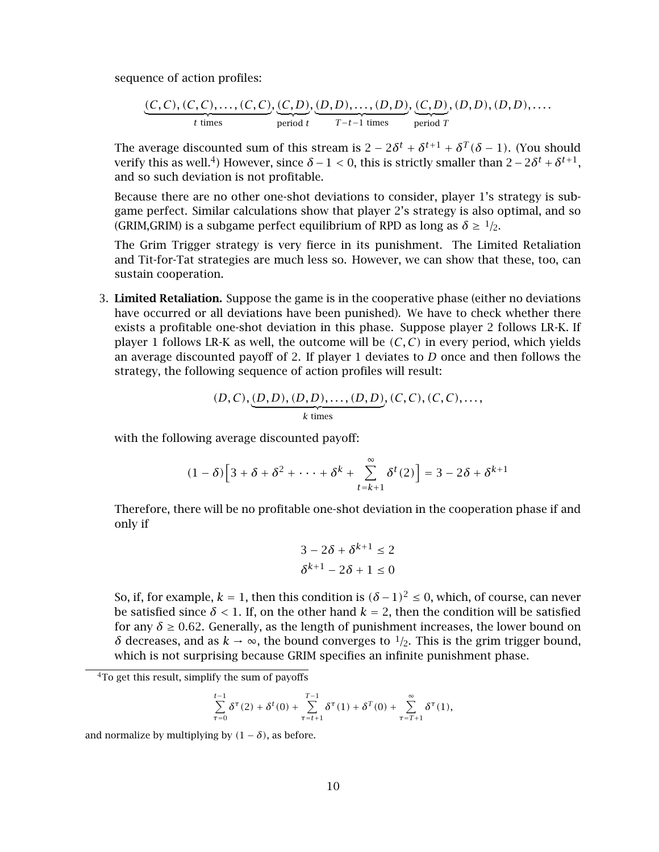sequence of action profiles:

$$
\underbrace{(C, C), (C, C), \dots, (C, C)}_{t \text{ times}}, \underbrace{(C, D), (D, D), \dots, (D, D)}_{\text{period } t}, \underbrace{(C, D)}_{T-t-1 \text{ times}}, (D, D), (D, D), \dots
$$

The average discounted sum of this stream is  $2 - 2\delta^t + \delta^{t+1} + \delta^T(\delta - 1)$ . (You should verify this as well.<sup>4</sup>) However, since  $\delta$  – 1 < 0, this is strictly smaller than  $2-2\delta^t + \delta^{t+1}$ , and so such deviation is not profitable.

Because there are no other one-shot deviations to consider, player 1's strategy is subgame perfect. Similar calculations show that player 2's strategy is also optimal, and so (GRIM,GRIM) is a subgame perfect equilibrium of RPD as long as  $\delta \geq 1/2$ .

The Grim Trigger strategy is very fierce in its punishment. The Limited Retaliation and Tit-for-Tat strategies are much less so. However, we can show that these, too, can sustain cooperation.

3. **Limited Retaliation.** Suppose the game is in the cooperative phase (either no deviations have occurred or all deviations have been punished). We have to check whether there exists a profitable one-shot deviation in this phase. Suppose player 2 follows LR-K. If player 1 follows LR-K as well, the outcome will be  $(C, C)$  in every period, which yields an average discounted payoff of 2. If player 1 deviates to *D* once and then follows the strategy, the following sequence of action profiles will result:

$$
(D, C), (D, D), (D, D), ..., (D, D), (C, C), (C, C), ...,
$$
  
\n*k* times

with the following average discounted payoff:

$$
(1 - \delta) \Big[ 3 + \delta + \delta^2 + \dots + \delta^k + \sum_{t=k+1}^{\infty} \delta^t(2) \Big] = 3 - 2\delta + \delta^{k+1}
$$

Therefore, there will be no profitable one-shot deviation in the cooperation phase if and only if

$$
3 - 2\delta + \delta^{k+1} \le 2
$$
  

$$
\delta^{k+1} - 2\delta + 1 \le 0
$$

So, if, for example,  $k = 1$ , then this condition is  $(\delta - 1)^2 \le 0$ , which, of course, can never be satisfied since  $\delta$  < 1. If, on the other hand  $k = 2$ , then the condition will be satisfied for any  $\delta \geq 0.62$ . Generally, as the length of punishment increases, the lower bound on *δ* decreases, and as *k* → ∞, the bound converges to  $1/2$ . This is the grim trigger bound, which is not surprising because GRIM specifies an infinite punishment phase.

$$
\sum_{\tau=0}^{t-1} \delta^{\tau}(2) + \delta^{t}(0) + \sum_{\tau=t+1}^{T-1} \delta^{\tau}(1) + \delta^{T}(0) + \sum_{\tau=T+1}^{\infty} \delta^{\tau}(1),
$$

and normalize by multiplying by  $(1 - \delta)$ , as before.

<sup>4</sup>To get this result, simplify the sum of payoffs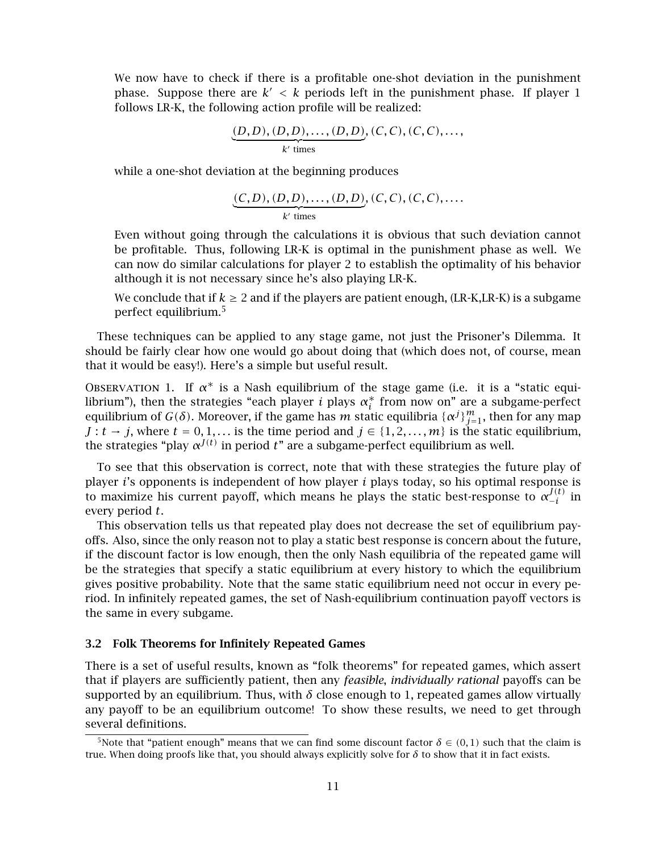We now have to check if there is a profitable one-shot deviation in the punishment phase. Suppose there are  $k' < k$  periods left in the punishment phase. If player 1 follows LR-K, the following action profile will be realized:

$$
\underbrace{(D, D), (D, D), \dots, (D, D)}_{k' \text{ times}}, (C, C), (C, C), \dots,
$$

while a one-shot deviation at the beginning produces

$$
\underbrace{(C,D),(D,D),\ldots,(D,D)}_{k' \text{ times}}, (C,C), (C,C),\ldots.
$$

Even without going through the calculations it is obvious that such deviation cannot be profitable. Thus, following LR-K is optimal in the punishment phase as well. We can now do similar calculations for player 2 to establish the optimality of his behavior although it is not necessary since he's also playing LR-K.

We conclude that if  $k \ge 2$  and if the players are patient enough, (LR-K,LR-K) is a subgame perfect equilibrium.<sup>5</sup>

These techniques can be applied to any stage game, not just the Prisoner's Dilemma. It should be fairly clear how one would go about doing that (which does not, of course, mean that it would be easy!). Here's a simple but useful result.

OBSERVATION 1. If  $\alpha^*$  is a Nash equilibrium of the stage game (i.e. it is a "static equilibrium"), then the strategies "each player *i* plays  $\alpha_i^*$  from now on" are a subgame-perfect equilibrium of  $G(\delta)$ . Moreover, if the game has *m* static equilibria  $\{\alpha_i^j\}^m$  then for any man equilibrium of *G(δ)*. Moreover, if the game has *m* static equilibria  $\{\alpha^j\}_{j=1}^m$ , then for any map  $I: t \to i$  where  $t = 0, 1$  is the time neriod and  $i \in \{1, 2, \ldots, m\}$  is the static equilibrium *J* : *t* → *j*, where *t* = 0, 1,... is the time period and *j* ∈ {1, 2, ..., *m*} is the static equilibrium, the strategies "play  $\alpha^{J(t)}$  in period *t*" are a subgame-perfect equilibrium as well.

To see that this observation is correct, note that with these strategies the future play of player *i*'s opponents is independent of how player *i* plays today, so his optimal response is to maximize his current payoff, which means he plays the static best-response to  $\alpha_{-i}^{J(t)}$  in every period t every period *t*.

This observation tells us that repeated play does not decrease the set of equilibrium payoffs. Also, since the only reason not to play a static best response is concern about the future, if the discount factor is low enough, then the only Nash equilibria of the repeated game will be the strategies that specify a static equilibrium at every history to which the equilibrium gives positive probability. Note that the same static equilibrium need not occur in every period. In infinitely repeated games, the set of Nash-equilibrium continuation payoff vectors is the same in every subgame.

#### **3.2 Folk Theorems for Infinitely Repeated Games**

There is a set of useful results, known as "folk theorems" for repeated games, which assert that if players are sufficiently patient, then any *feasible*, *individually rational* payoffs can be supported by an equilibrium. Thus, with  $\delta$  close enough to 1, repeated games allow virtually any payoff to be an equilibrium outcome! To show these results, we need to get through several definitions.

<sup>&</sup>lt;sup>5</sup>Note that "patient enough" means that we can find some discount factor  $\delta \in (0,1)$  such that the claim is true. When doing proofs like that, you should always explicitly solve for *δ* to show that it in fact exists.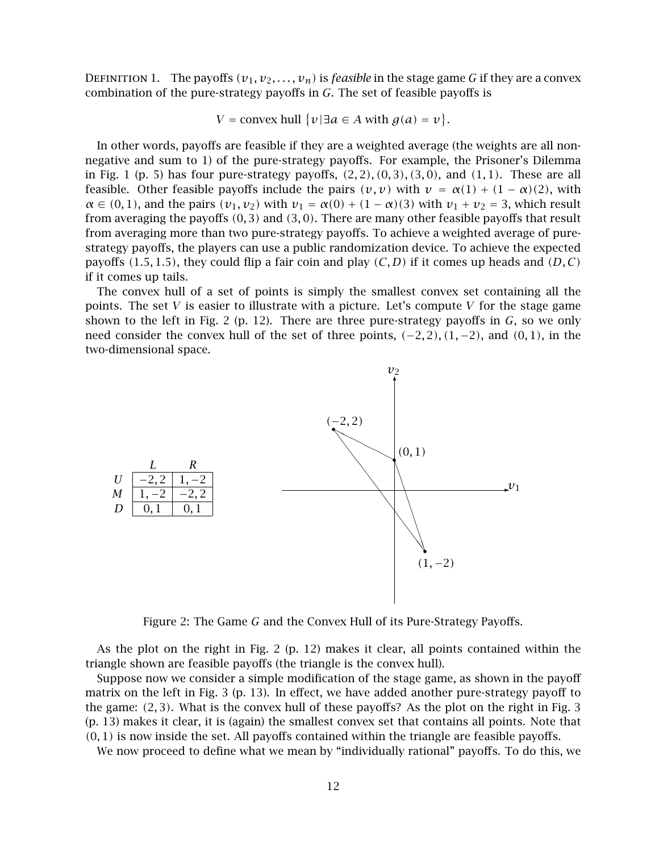DEFINITION 1. The payoffs  $(v_1, v_2, \ldots, v_n)$  is *feasible* in the stage game *G* if they are a convex combination of the pure-strategy payoffs in *G*. The set of feasible payoffs is

$$
V = \text{convex hull } \{v \mid \exists a \in A \text{ with } g(a) = v \}.
$$

In other words, payoffs are feasible if they are a weighted average (the weights are all nonnegative and sum to 1) of the pure-strategy payoffs. For example, the Prisoner's Dilemma in Fig. 1 (p. 5) has four pure-strategy payoffs, *(*2*,* <sup>2</sup>*), (*0*,* <sup>3</sup>*), (*3*,* <sup>0</sup>*)*, and *(*1*,* <sup>1</sup>*)*. These are all feasible. Other feasible payoffs include the pairs  $(v, v)$  with  $v = \alpha(1) + (1 - \alpha)(2)$ , with  $\alpha \in (0,1)$ , and the pairs  $(v_1, v_2)$  with  $v_1 = \alpha(0) + (1 - \alpha)(3)$  with  $v_1 + v_2 = 3$ , which result from averaging the payoffs *(*0*,* <sup>3</sup>*)* and *(*3*,* <sup>0</sup>*)*. There are many other feasible payoffs that result from averaging more than two pure-strategy payoffs. To achieve a weighted average of purestrategy payoffs, the players can use a public randomization device. To achieve the expected payoffs  $(1.5, 1.5)$ , they could flip a fair coin and play  $(C, D)$  if it comes up heads and  $(D, C)$ if it comes up tails.

The convex hull of a set of points is simply the smallest convex set containing all the points. The set *V* is easier to illustrate with a picture. Let's compute *V* for the stage game shown to the left in Fig. 2 (p. 12). There are three pure-strategy payoffs in *G*, so we only need consider the convex hull of the set of three points,  $(-2, 2)$ ,  $(1, -2)$ , and  $(0, 1)$ , in the two-dimensional space.



Figure 2: The Game *G* and the Convex Hull of its Pure-Strategy Payoffs.

As the plot on the right in Fig. 2 (p. 12) makes it clear, all points contained within the triangle shown are feasible payoffs (the triangle is the convex hull).

Suppose now we consider a simple modification of the stage game, as shown in the payoff matrix on the left in Fig. 3 (p. 13). In effect, we have added another pure-strategy payoff to the game: *(*2*,* <sup>3</sup>*)*. What is the convex hull of these payoffs? As the plot on the right in Fig. 3 (p. 13) makes it clear, it is (again) the smallest convex set that contains all points. Note that *(*0*,* <sup>1</sup>*)* is now inside the set. All payoffs contained within the triangle are feasible payoffs.

We now proceed to define what we mean by "individually rational" payoffs. To do this, we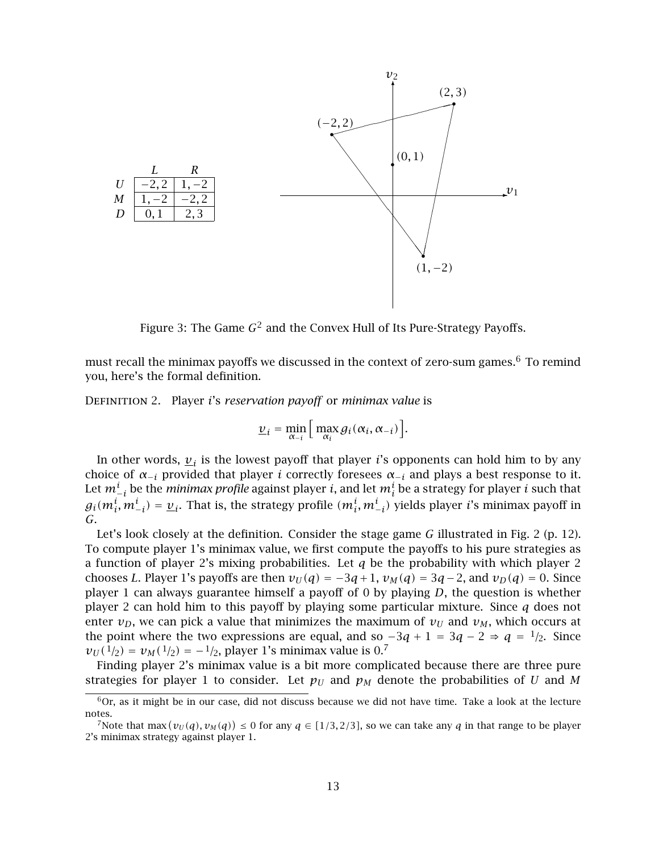

Figure 3: The Game  $G^2$  and the Convex Hull of Its Pure-Strategy Payoffs.

must recall the minimax payoffs we discussed in the context of zero-sum games. $^6$  To remind you, here's the formal definition.

Definition <sup>2</sup>. Player *i*'s *reservation payoff* or *minimax value* is

$$
\underline{v}_i = \min_{\alpha_{-i}} \Big[ \max_{\alpha_i} g_i(\alpha_i, \alpha_{-i}) \Big].
$$

In other words,  $v_i$  is the lowest payoff that player *i*'s opponents can hold him to by any choice of  $\alpha_{-i}$  provided that player *i* correctly foresees  $\alpha_{-i}$  and plays a best response to it. Let  $m_{-i}^i$  be the *minimax profile* against player *i*, and let  $m_i^i$  be a strategy for player *i* such that  $a_i (m_i^i, m_i^i)$ , and  $b_i (m_i^i, m_i^i)$ , wields player *i's* minimax payoff in  $g_i(m_i^l, m_{-i}^l) = \underline{v}_i$ . That is, the strategy profile  $(m_i^l, m_{-i}^l)$  yields player *i*'s minimax payoff in  $G$ *G*.

Let's look closely at the definition. Consider the stage game *G* illustrated in Fig. 2 (p. 12). To compute player 1's minimax value, we first compute the payoffs to his pure strategies as a function of player 2's mixing probabilities. Let *q* be the probability with which player 2 chooses *L*. Player 1's payoffs are then  $v_U(q) = -3q + 1$ ,  $v_M(q) = 3q - 2$ , and  $v_D(q) = 0$ . Since player 1 can always guarantee himself a payoff of 0 by playing *D*, the question is whether player 2 can hold him to this payoff by playing some particular mixture. Since *q* does not enter  $v_D$ , we can pick a value that minimizes the maximum of  $v_U$  and  $v_M$ , which occurs at the point where the two expressions are equal, and so  $-3q + 1 = 3q - 2 \Rightarrow q = 1/2$ . Since  $v_U(1/2) = v_M(1/2) = -1/2$ , player 1's minimax value is 0.<sup>7</sup>

Finding player 2's minimax value is a bit more complicated because there are three pure strategies for player 1 to consider. Let  $p_U$  and  $p_M$  denote the probabilities of *U* and *M* 

 $6$ Or, as it might be in our case, did not discuss because we did not have time. Take a look at the lecture notes.

<sup>&</sup>lt;sup>7</sup>Note that max  $(v_U(q), v_M(q)) \le 0$  for any  $q \in [1/3, 2/3]$ , so we can take any *q* in that range to be player minimax strategy against player 1 2's minimax strategy against player 1.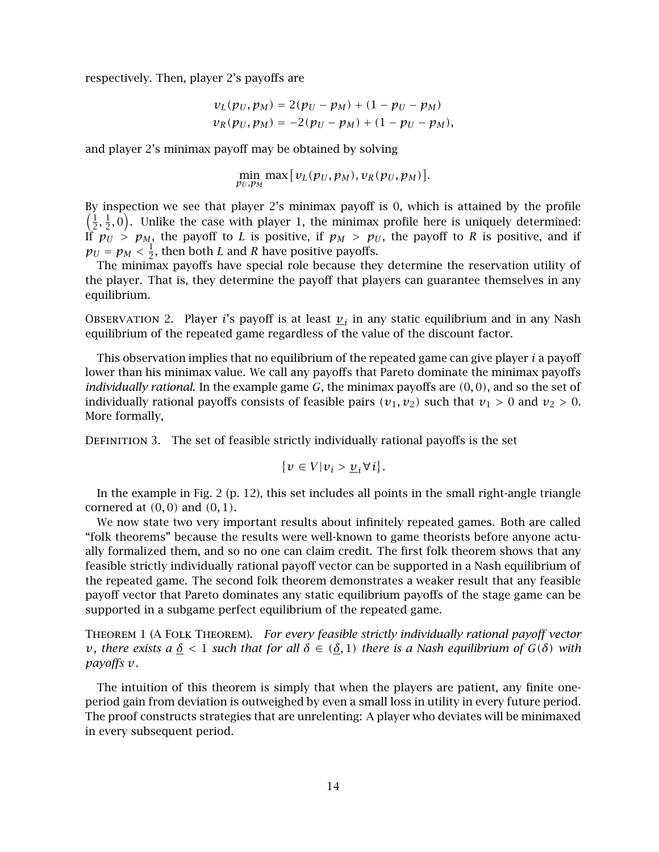respectively. Then, player 2's payoffs are

$$
v_L(p_U, p_M) = 2(p_U - p_M) + (1 - p_U - p_M)
$$
  

$$
v_R(p_U, p_M) = -2(p_U - p_M) + (1 - p_U - p_M),
$$

and player 2's minimax payoff may be obtained by solving

$$
\min_{p_U, p_M} \max[v_L(p_U, p_M), v_R(p_U, p_M)].
$$

By inspection we see that player 2's minimax payoff is 0, which is attained by the profile  $\left(\frac{1}{2}, \frac{1}{2}, 0\right)$ . Unlike the case with player 1, the minimax profile here is uniquely determined: If  $p_U > p_M$ , the payoff to *L* is positive, if  $p_M > p_U$ , the payoff to *R* is positive, and if  $p_U = p_M < \frac{1}{2}$ , then both *L* and *R* have positive payoffs.<br>The minimax payoffs have special role because the

The minimax payoffs have special role because they determine the reservation utility of the player. That is, they determine the payoff that players can guarantee themselves in any equilibrium.

OBSERVATION 2. Player *i*'s payoff is at least  $v_i$  in any static equilibrium and in any Nash equilibrium of the repeated game regardless of the value of the discount factor.

This observation implies that no equilibrium of the repeated game can give player *i* a payoff lower than his minimax value. We call any payoffs that Pareto dominate the minimax payoffs *individually rational*. In the example game *G*, the minimax payoffs are *(*0*,* <sup>0</sup>*)*, and so the set of individually rational payoffs consists of feasible pairs  $(v_1, v_2)$  such that  $v_1 > 0$  and  $v_2 > 0$ . More formally,

Definition 3. The set of feasible strictly individually rational payoffs is the set

$$
\{v \in V | v_i > \underline{v}_i \forall i\}.
$$

In the example in Fig. 2 (p. 12), this set includes all points in the small right-angle triangle cornered at *(*0*,* <sup>0</sup>*)* and *(*0*,* <sup>1</sup>*)*.

We now state two very important results about infinitely repeated games. Both are called "folk theorems" because the results were well-known to game theorists before anyone actually formalized them, and so no one can claim credit. The first folk theorem shows that any feasible strictly individually rational payoff vector can be supported in a Nash equilibrium of the repeated game. The second folk theorem demonstrates a weaker result that any feasible payoff vector that Pareto dominates any static equilibrium payoffs of the stage game can be supported in a subgame perfect equilibrium of the repeated game.

Theorem 1 (A Folk Theorem). *For every feasible strictly individually rational payoff vector v*, there exists a <u>δ</u> < 1 such that for all δ ∈ ( $δ$ , 1) there is a Nash equilibrium of  $G(δ)$  with *payoffs v.*

The intuition of this theorem is simply that when the players are patient, any finite oneperiod gain from deviation is outweighed by even a small loss in utility in every future period. The proof constructs strategies that are unrelenting: A player who deviates will be minimaxed in every subsequent period.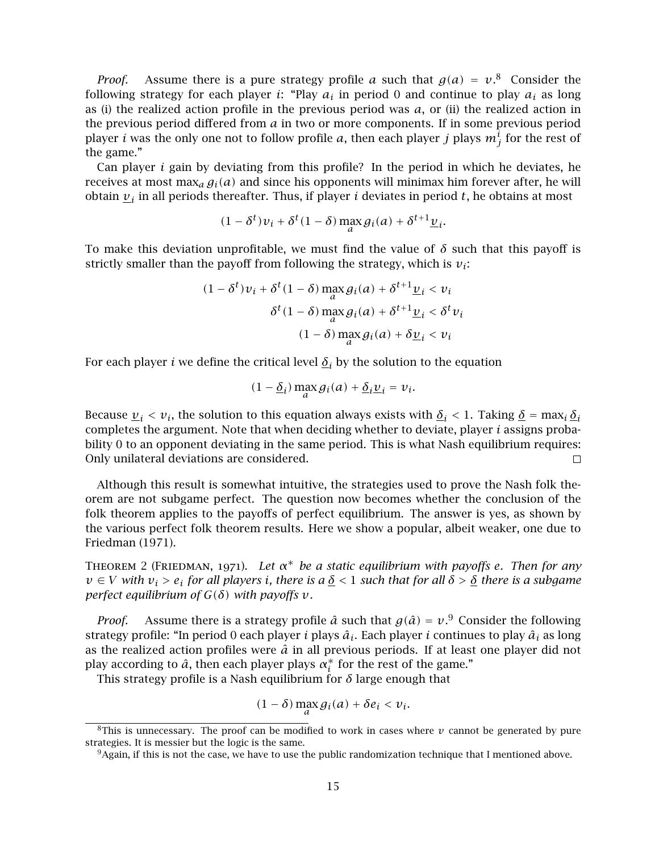*Proof.* Assume there is a pure strategy profile *a* such that  $g(a) = v^8$ . Consider the lowing strategy for each player *i*: "Play *a*, in period 0 and continue to play *a*, as long following strategy for each player *i*: "Play  $a_i$  in period 0 and continue to play  $a_i$  as long as (i) the realized action profile in the previous period was *a*, or (ii) the realized action in the previous period differed from *a* in two or more components. If in some previous period player *i* was the only one not to follow profile *a*, then each player *j* plays  $m_j^l$  for the rest of<br>the game " the game."

Can player *i* gain by deviating from this profile? In the period in which he deviates, he receives at most max<sub>a</sub>  $g_i(a)$  and since his opponents will minimax him forever after, he will obtain  $v_i$  in all periods thereafter. Thus, if player *i* deviates in period *t*, he obtains at most

$$
(1 - \delta^t)v_i + \delta^t(1 - \delta) \max_a g_i(a) + \delta^{t+1} \underline{v}_i.
$$

To make this deviation unprofitable, we must find the value of  $\delta$  such that this payoff is strictly smaller than the payoff from following the strategy, which is  $v_i$ :

$$
(1 - \delta^{t})v_{i} + \delta^{t}(1 - \delta) \max_{a} g_{i}(a) + \delta^{t+1} \underline{v}_{i} < v_{i}
$$
\n
$$
\delta^{t}(1 - \delta) \max_{a} g_{i}(a) + \delta^{t+1} \underline{v}_{i} < \delta^{t} v_{i}
$$
\n
$$
(1 - \delta) \max_{a} g_{i}(a) + \delta \underline{v}_{i} < v_{i}
$$

For each player *i* we define the critical level  $\delta_i$  by the solution to the equation

$$
(1 - \underline{\delta}_i) \max_a g_i(a) + \underline{\delta}_i \underline{v}_i = v_i.
$$

Because  $v_i < v_i$ , the solution to this equation always exists with  $\delta_i < 1$ . Taking  $\delta = \max_i \delta_i$ completes the argument. Note that when deciding whether to deviate, player *i* assigns probability 0 to an opponent deviating in the same period. This is what Nash equilibrium requires: Only unilateral deviations are considered.  $\Box$ 

Although this result is somewhat intuitive, the strategies used to prove the Nash folk theorem are not subgame perfect. The question now becomes whether the conclusion of the folk theorem applies to the payoffs of perfect equilibrium. The answer is yes, as shown by the various perfect folk theorem results. Here we show a popular, albeit weaker, one due to Friedman (1971).

Theorem <sup>2</sup> (Friedman, 1971). *Let α*<sup>∗</sup> *be a static equilibrium with payoffs <sup>e</sup>. Then for any*  $v \in V$  *with*  $v_i > e_i$  *for all players i, there is a*  $\delta$  < 1 *such that for all*  $\delta$  >  $\delta$  *there is a subgame perfect equilibrium of*  $G(\delta)$  *with payoffs*  $v$ *.* 

*Proof.* Assume there is a strategy profile  $\hat{a}$  such that  $g(\hat{a}) = v^9$ . Consider the following rategy profile: "In period 0 asch player *i* player *i*, Each player *i* continues to play  $\hat{a}$ , as long strategy profile: "In period 0 each player *i* plays  $\hat{a}_i$ . Each player *i* continues to play  $\hat{a}_i$  as long as the realized action profiles were  $\hat{a}$  in all previous periods. If at least one player did not play according to  $\hat{a}$ , then each player plays  $\alpha_i^*$  for the rest of the game."<br>This strategy profile is a Nash equilibrium for  $\delta$  large enough that

This strategy profile is a Nash equilibrium for *δ* large enough that

$$
(1-\delta)\max_{a}g_i(a)+\delta e_i < v_i.
$$

<sup>&</sup>lt;sup>8</sup>This is unnecessary. The proof can be modified to work in cases where  $\nu$  cannot be generated by pure strategies. It is messier but the logic is the same.

<sup>&</sup>lt;sup>9</sup>Again, if this is not the case, we have to use the public randomization technique that I mentioned above.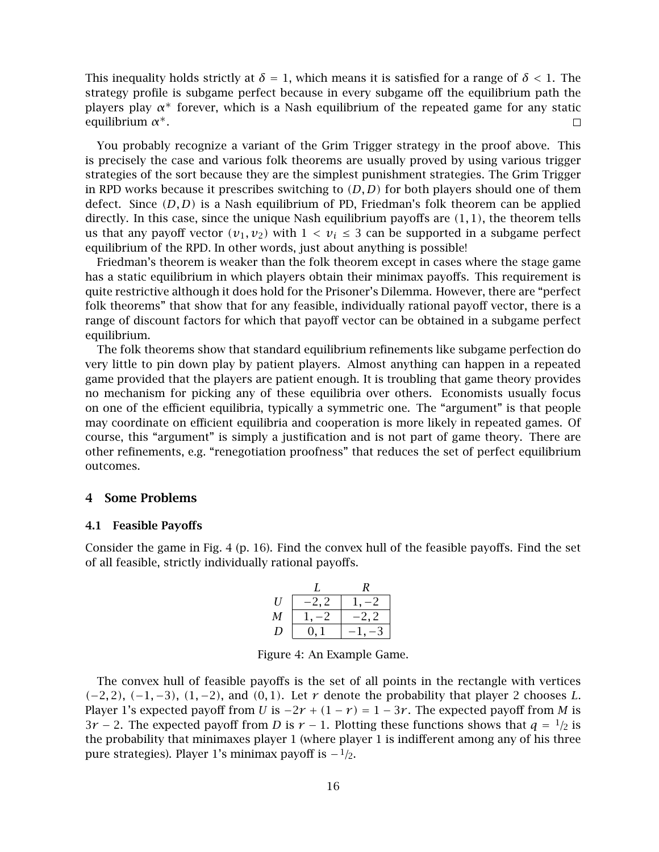This inequality holds strictly at  $\delta = 1$ , which means it is satisfied for a range of  $\delta < 1$ . The strategy profile is subgame perfect because in every subgame off the equilibrium path the players play *α*<sup>\*</sup> forever, which is a Nash equilibrium of the repeated game for any static equilibrium *α*<sup>\*</sup>. equilibrium *α*∗.

You probably recognize a variant of the Grim Trigger strategy in the proof above. This is precisely the case and various folk theorems are usually proved by using various trigger strategies of the sort because they are the simplest punishment strategies. The Grim Trigger in RPD works because it prescribes switching to *(D, D)* for both players should one of them defect. Since *(D, D)* is a Nash equilibrium of PD, Friedman's folk theorem can be applied directly. In this case, since the unique Nash equilibrium payoffs are *(*1*,* <sup>1</sup>*)*, the theorem tells us that any payoff vector  $(v_1, v_2)$  with  $1 < v_i \leq 3$  can be supported in a subgame perfect equilibrium of the RPD. In other words, just about anything is possible!

Friedman's theorem is weaker than the folk theorem except in cases where the stage game has a static equilibrium in which players obtain their minimax payoffs. This requirement is quite restrictive although it does hold for the Prisoner's Dilemma. However, there are "perfect folk theorems" that show that for any feasible, individually rational payoff vector, there is a range of discount factors for which that payoff vector can be obtained in a subgame perfect equilibrium.

The folk theorems show that standard equilibrium refinements like subgame perfection do very little to pin down play by patient players. Almost anything can happen in a repeated game provided that the players are patient enough. It is troubling that game theory provides no mechanism for picking any of these equilibria over others. Economists usually focus on one of the efficient equilibria, typically a symmetric one. The "argument" is that people may coordinate on efficient equilibria and cooperation is more likely in repeated games. Of course, this "argument" is simply a justification and is not part of game theory. There are other refinements, e.g. "renegotiation proofness" that reduces the set of perfect equilibrium outcomes.

#### **4 Some Problems**

#### **4.1 Feasible Payoffs**

Consider the game in Fig. 4 (p. 16). Find the convex hull of the feasible payoffs. Find the set of all feasible, strictly individually rational payoffs.

|   |      | R    |
|---|------|------|
| H | -2.2 |      |
| М |      | -2.2 |
| D | 0. 1 | -3   |
|   |      |      |

Figure 4: An Example Game.

The convex hull of feasible payoffs is the set of all points in the rectangle with vertices *(*−2*,* <sup>2</sup>*)*, *(*−1*,* <sup>−</sup>3*)*, *(*1*,* <sup>−</sup>2*)*, and *(*0*,* <sup>1</sup>*)*. Let *r* denote the probability that player 2 chooses *L*. Player 1's expected payoff from *U* is  $-2r + (1 - r) = 1 - 3r$ . The expected payoff from *M* is  $3r - 2$ . The expected payoff from *D* is  $r - 1$ . Plotting these functions shows that  $q = \frac{1}{2}$  is the probability that minimaxes player 1 (where player 1 is indifferent among any of his three pure strategies). Player 1's minimax payoff is <sup>−</sup>1*/*2.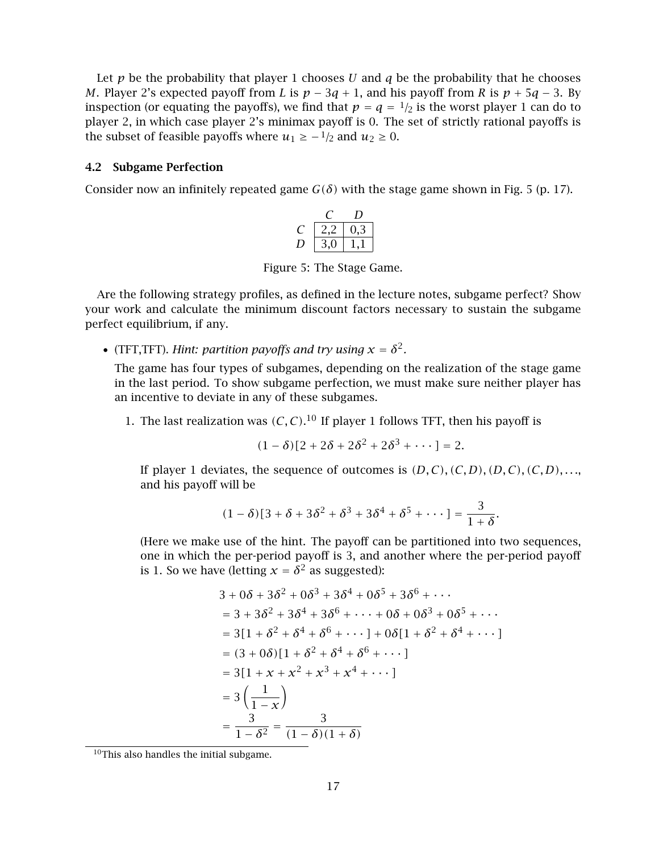Let  $p$  be the probability that player 1 chooses *U* and  $q$  be the probability that he chooses *M*. Player 2's expected payoff from *L* is  $p - 3q + 1$ , and his payoff from *R* is  $p + 5q - 3$ . By inspection (or equating the payoffs), we find that  $p = q = \frac{1}{2}$  is the worst player 1 can do to player 2, in which case player 2's minimax payoff is 0. The set of strictly rational payoffs is the subset of feasible payoffs where  $u_1 \geq -\frac{1}{2}$  and  $u_2 \geq 0$ .

#### **4.2 Subgame Perfection**

Consider now an infinitely repeated game  $G(\delta)$  with the stage game shown in Fig. 5 (p. 17).

|                    | ₹ |  |
|--------------------|---|--|
| $\mathcal{L}$<br>د |   |  |

Figure 5: The Stage Game.

Are the following strategy profiles, as defined in the lecture notes, subgame perfect? Show your work and calculate the minimum discount factors necessary to sustain the subgame perfect equilibrium, if any.

• (TFT, TFT). *Hint: partition payoffs and try using*  $x = \delta^2$ .

The game has four types of subgames, depending on the realization of the stage game in the last period. To show subgame perfection, we must make sure neither player has an incentive to deviate in any of these subgames.

1. The last realization was  $(C, C)$ .<sup>10</sup> If player 1 follows TFT, then his payoff is

$$
(1-\delta)[2+2\delta+2\delta^2+2\delta^3+\cdots]=2.
$$

If player 1 deviates, the sequence of outcomes is  $(D, C)$ ,  $(C, D)$ ,  $(D, C)$ ,  $(C, D)$ , ..., and his payoff will be

$$
(1-\delta)[3+\delta+3\delta^2+\delta^3+3\delta^4+\delta^5+\cdots]=\frac{3}{1+\delta}.
$$

(Here we make use of the hint. The payoff can be partitioned into two sequences, one in which the per-period payoff is 3, and another where the per-period payoff is 1. So we have (letting  $x = \delta^2$  as suggested):

$$
3 + 0\delta + 3\delta^2 + 0\delta^3 + 3\delta^4 + 0\delta^5 + 3\delta^6 + \cdots
$$
  
\n
$$
= 3 + 3\delta^2 + 3\delta^4 + 3\delta^6 + \cdots + 0\delta + 0\delta^3 + 0\delta^5 + \cdots
$$
  
\n
$$
= 3[1 + \delta^2 + \delta^4 + \delta^6 + \cdots] + 0\delta[1 + \delta^2 + \delta^4 + \cdots]
$$
  
\n
$$
= (3 + 0\delta)[1 + \delta^2 + \delta^4 + \delta^6 + \cdots]
$$
  
\n
$$
= 3[1 + x + x^2 + x^3 + x^4 + \cdots]
$$
  
\n
$$
= 3\left(\frac{1}{1 - x}\right)
$$
  
\n
$$
= \frac{3}{1 - \delta^2} = \frac{3}{(1 - \delta)(1 + \delta)}
$$

<sup>10</sup>This also handles the initial subgame.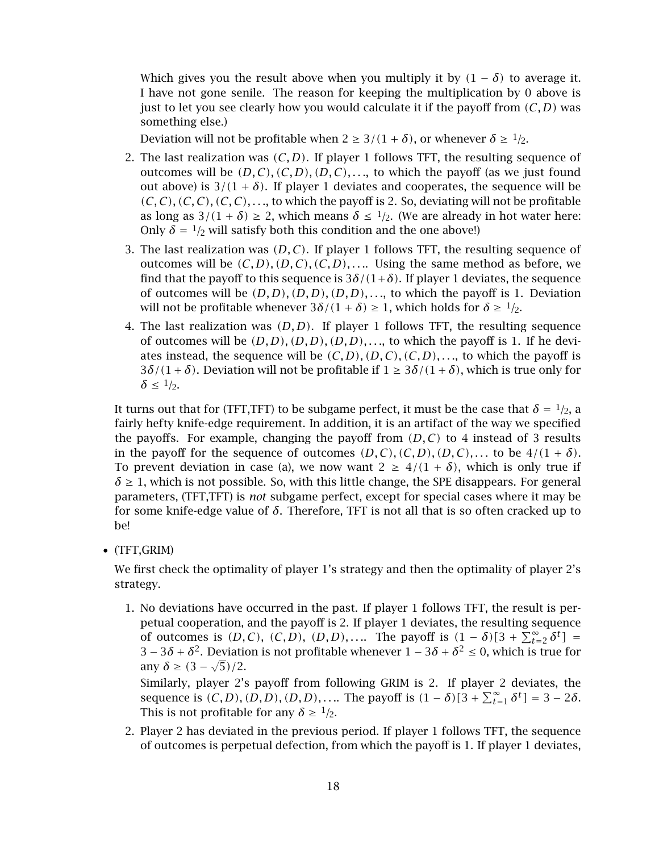Which gives you the result above when you multiply it by  $(1 - \delta)$  to average it. I have not gone senile. The reason for keeping the multiplication by 0 above is just to let you see clearly how you would calculate it if the payoff from *(C, D)* was something else.)

Deviation will not be profitable when  $2 \geq 3/(1+\delta)$ , or whenever  $\delta \geq 1/2$ .

- 2. The last realization was  $(C, D)$ . If player 1 follows TFT, the resulting sequence of outcomes will be  $(D, C), (C, D), (D, C), \ldots$ , to which the payoff (as we just found out above) is  $3/(1 + \delta)$ . If player 1 deviates and cooperates, the sequence will be *(C, C), (C, C), (C, C), . . .*, to which the payoff is 2. So, deviating will not be profitable as long as  $3/(1 + \delta) \ge 2$ , which means  $\delta \le 1/2$ . (We are already in hot water here: Only  $\delta = \frac{1}{2}$  will satisfy both this condition and the one above!)
- 3. The last realization was *(D, C)*. If player 1 follows TFT, the resulting sequence of outcomes will be  $(C, D), (D, C), (C, D), \ldots$  Using the same method as before, we find that the payoff to this sequence is  $3\delta/(1+\delta)$ . If player 1 deviates, the sequence of outcomes will be  $(D, D), (D, D), (D, D), \ldots$ , to which the payoff is 1. Deviation will not be profitable whenever  $3\delta/(1+\delta) \ge 1$ , which holds for  $\delta \ge 1/2$ .
- 4. The last realization was *(D, D)*. If player 1 follows TFT, the resulting sequence of outcomes will be  $(D, D), (D, D), (D, D), \ldots$ , to which the payoff is 1. If he deviates instead, the sequence will be  $(C, D), (D, C), (C, D), \ldots$ , to which the payoff is  $3\delta/(1+\delta)$ . Deviation will not be profitable if  $1 \geq 3\delta/(1+\delta)$ , which is true only for  $\delta \leq 1/2$ .

It turns out that for (TFT,TFT) to be subgame perfect, it must be the case that  $\delta = \frac{1}{2}$ , a fairly hefty knife-edge requirement. In addition, it is an artifact of the way we specified the payoffs. For example, changing the payoff from  $(D, C)$  to 4 instead of 3 results in the payoff for the sequence of outcomes  $(D, C), (C, D), (D, C), \ldots$  to be  $4/(1 + \delta)$ . To prevent deviation in case (a), we now want  $2 \geq 4/(1+\delta)$ , which is only true if  $\delta \geq 1$ , which is not possible. So, with this little change, the SPE disappears. For general parameters, (TFT,TFT) is *not* subgame perfect, except for special cases where it may be for some knife-edge value of *δ*. Therefore, TFT is not all that is so often cracked up to be!

• (TFT,GRIM)

We first check the optimality of player 1's strategy and then the optimality of player 2's strategy.

1. No deviations have occurred in the past. If player 1 follows TFT, the result is perpetual cooperation, and the payoff is 2. If player 1 deviates, the resulting sequence of outcomes is  $(D, C)$ ,  $(C, D)$ ,  $(D, D)$ , .... The payoff is  $(1 - \delta)[3 + \sum_{t=2}^{\infty} \delta^t] =$ <br>  $\frac{3\delta + \delta^2}{2}$  Deviation is not profitable whenever  $1 - 3\delta + \delta^2 < 0$ , which is true for  $3-3\delta+\delta^2$ . Deviation is not profitable whenever  $1-3\delta+\delta^2 \le 0$ , which is true for  $\text{any } \delta \geq (3 - \sqrt{5})/2.$ <br>
Similarly player 2<sup>1</sup>

Similarly, player 2's payoff from following GRIM is 2. If player 2 deviates, the sequence is  $(C, D), (D, D), (D, D), \ldots$  The payoff is  $(1 - \delta)[3 + \sum_{t=1}^{\infty} \delta^t] = 3 - 2\delta$ . This is not profitable for any  $\delta \geq 1/2$ .

2. Player 2 has deviated in the previous period. If player 1 follows TFT, the sequence of outcomes is perpetual defection, from which the payoff is 1. If player 1 deviates,